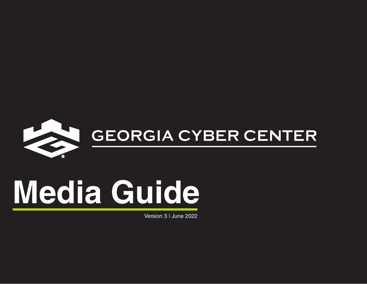

## SEORGIA CYBER CENTER

# **Media Guide**

Version 3 | June 2022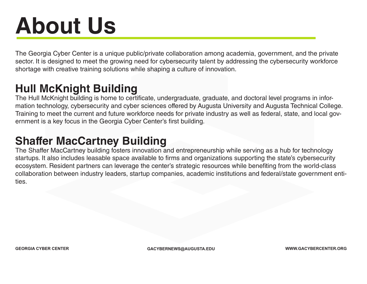### **About Us**

The Georgia Cyber Center is a unique public/private collaboration among academia, government, and the private sector. It is designed to meet the growing need for cybersecurity talent by addressing the cybersecurity workforce shortage with creative training solutions while shaping a culture of innovation.

#### **Hull McKnight Building**

The Hull McKnight building is home to certificate, undergraduate, graduate, and doctoral level programs in information technology, cybersecurity and cyber sciences offered by Augusta University and Augusta Technical College. Training to meet the current and future workforce needs for private industry as well as federal, state, and local government is a key focus in the Georgia Cyber Center's first building.

#### **Shaffer MacCartney Building**

The Shaffer MacCartney building fosters innovation and entrepreneurship while serving as a hub for technology startups. It also includes leasable space available to firms and organizations supporting the state's cybersecurity ecosystem. Resident partners can leverage the center's strategic resources while benefiting from the world-class collaboration between industry leaders, startup companies, academic institutions and federal/state government entities.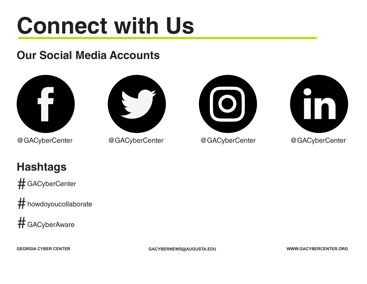### **Connect with Us**

### **Our Social Media Accounts**



@GACyberCenter @GACyberCenter @GACyberCenter





@GACyberCenter

#### **Hashtags**

# GACyberCenter

howdoyoucollaborate #

# GACyberAware

**GEORGIA CYBER CENTER GACYBERNEWS@AUGUSTA.EDU WWW.GACYBERCENTER.ORG**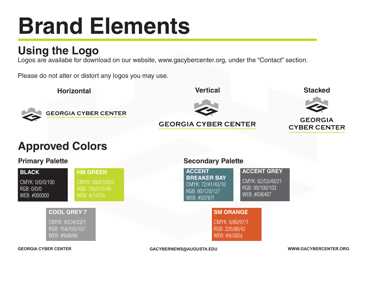### **Brand Elements**

#### **Using the Logo**

Logos are availabe for download on our website, www.gacybercenter.org, under the "Contact" section.

Please do not alter or distort any logos you may use.



CMYK: 72/41/43/10 RGB: 80/120/127 WEB: #50787f

**SM ORANGE**

CMYK: 9/80/97/1 RGB: 220/88/42 WEB: #dc582a

CMYK: 62/53/49/21 RGB: 99/100/103 WEB: #636467

CMYK: 0/0/0/100 RGB: 0/0/0 WEB: #000000

CMYK: 30/0/100/0 RGB: 193/215/46 WEB: #c1d72e

#### **COOL GREY 7**

CMYK: 43/34/33/1 RGB: 154/155/157 WEB: #9a9b9d

**GEORGIA CYBER CENTER GACYBERNEWS@AUGUSTA.EDU WWW.GACYBERCENTER.ORG**